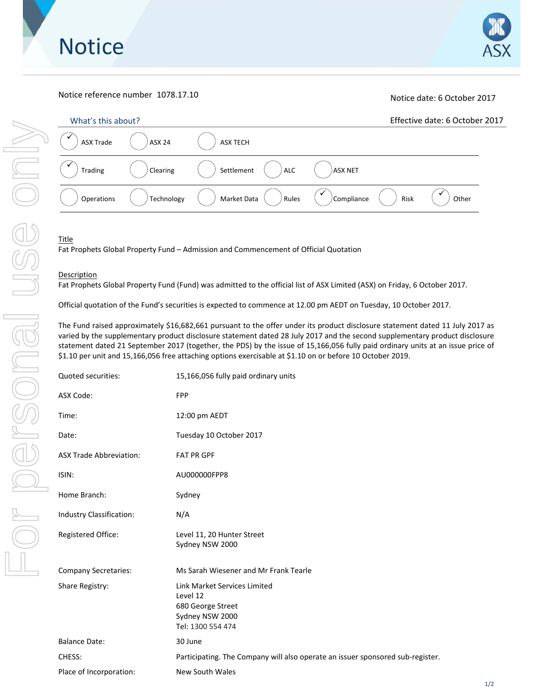



# Notice reference number 1078.17.10 Notice date: 6 October 2017

| What's this about? |               |                      |                    | Effective date: 6 October 2017 |
|--------------------|---------------|----------------------|--------------------|--------------------------------|
| <b>ASX Trade</b>   | <b>ASX 24</b> | <b>ASX TECH</b>      |                    |                                |
| Trading            | Clearing      | ALC<br>Settlement    | <b>ASX NET</b>     |                                |
| Operations         | Technology    | Market Data<br>Rules | Compliance<br>Risk | Other                          |

### Title

Fat Prophets Global Property Fund – Admission and Commencement of Official Quotation

## **Description**

Fat Prophets Global Property Fund (Fund) was admitted to the official list of ASX Limited (ASX) on Friday, 6 October 2017.

Official quotation of the Fund's securities is expected to commence at 12.00 pm AEDT on Tuesday, 10 October 2017.

The Fund raised approximately \$16,682,661 pursuant to the offer under its product disclosure statement dated 11 July 2017 as varied by the supplementary product disclosure statement dated 28 July 2017 and the second supplementary product disclosure statement dated 21 September 2017 (together, the PDS) by the issue of 15,166,056 fully paid ordinary units at an issue price of \$1.10 per unit and 15,166,056 free attaching options exercisable at \$1.10 on or before 10 October 2019.

| Quoted securities:             | 15,166,056 fully paid ordinary units                                                                  |
|--------------------------------|-------------------------------------------------------------------------------------------------------|
| ASX Code:                      | <b>FPP</b>                                                                                            |
| Time:                          | 12:00 pm AEDT                                                                                         |
| Date:                          | Tuesday 10 October 2017                                                                               |
| <b>ASX Trade Abbreviation:</b> | <b>FAT PR GPF</b>                                                                                     |
| ISIN:                          | AU000000FPP8                                                                                          |
| Home Branch:                   | Sydney                                                                                                |
| Industry Classification:       | N/A                                                                                                   |
| Registered Office:             | Level 11, 20 Hunter Street<br>Sydney NSW 2000                                                         |
| <b>Company Secretaries:</b>    | Ms Sarah Wiesener and Mr Frank Tearle                                                                 |
| Share Registry:                | Link Market Services Limited<br>Level 12<br>680 George Street<br>Sydney NSW 2000<br>Tel: 1300 554 474 |
| <b>Balance Date:</b>           | 30 June                                                                                               |
| CHESS:                         | Participating. The Company will also operate an issuer sponsored sub-register.                        |
| Place of Incorporation:        | <b>New South Wales</b>                                                                                |